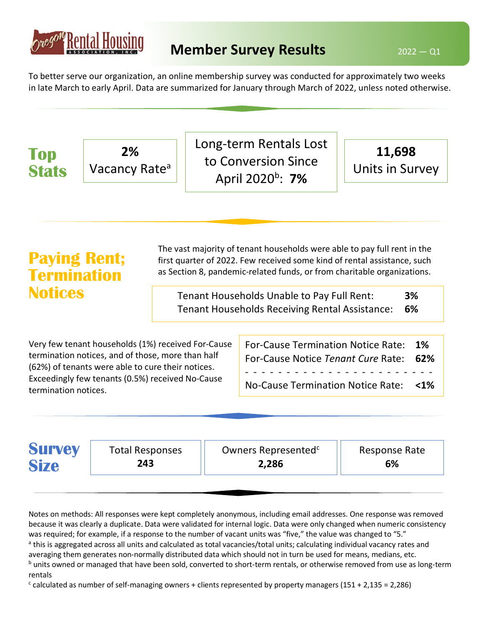

**2%** Vacancy Ratea

**Top** 

Long-term Rentals Lost

to Conversion Since

**11,698**

To better serve our organization, an online membership survey was conducted for approximately two weeks in late March to early April. Data are summarized for January through March of 2022, unless noted otherwise.

| <b>Stats</b>                                                | Vacancy Rate <sup>a</sup>                                                                                                                                                                                        |                                                                                                                                                                                                                                                                                                                                                    |  | LU LUIIVEI SIUII JIIILE<br>April 2020 <sup>b</sup> : 7%                                                                     |  | Units in Survey   |  |
|-------------------------------------------------------------|------------------------------------------------------------------------------------------------------------------------------------------------------------------------------------------------------------------|----------------------------------------------------------------------------------------------------------------------------------------------------------------------------------------------------------------------------------------------------------------------------------------------------------------------------------------------------|--|-----------------------------------------------------------------------------------------------------------------------------|--|-------------------|--|
| <b>Paying Rent;</b><br><b>Termination</b><br><b>Notices</b> |                                                                                                                                                                                                                  | The vast majority of tenant households were able to pay full rent in the<br>first quarter of 2022. Few received some kind of rental assistance, such<br>as Section 8, pandemic-related funds, or from charitable organizations.<br>Tenant Households Unable to Pay Full Rent:<br>3%<br>6%<br><b>Tenant Households Receiving Rental Assistance:</b> |  |                                                                                                                             |  |                   |  |
| termination notices.                                        | Very few tenant households (1%) received For-Cause<br>termination notices, and of those, more than half<br>(62%) of tenants were able to cure their notices.<br>Exceedingly few tenants (0.5%) received No-Cause |                                                                                                                                                                                                                                                                                                                                                    |  | <b>For-Cause Termination Notice Rate:</b><br>For-Cause Notice Tenant Cure Rate:<br><b>No-Cause Termination Notice Rate:</b> |  | 1%<br>62%<br>$1%$ |  |

| <b>Survey</b><br>Owners Represented <sup>c</sup><br><b>Total Responses</b><br>Response Rate<br><b>Size</b><br>2,286<br>6%<br>243 |  |
|----------------------------------------------------------------------------------------------------------------------------------|--|
|----------------------------------------------------------------------------------------------------------------------------------|--|

Notes on methods: All responses were kept completely anonymous, including email addresses. One response was removed because it was clearly a duplicate. Data were validated for internal logic. Data were only changed when numeric consistency was required; for example, if a response to the number of vacant units was "five," the value was changed to "5." <sup>a</sup> this is aggregated across all units and calculated as total vacancies/total units; calculating individual vacancy rates and averaging them generates non-normally distributed data which should not in turn be used for means, medians, etc. <sup>b</sup> units owned or managed that have been sold, converted to short-term rentals, or otherwise removed from use as long-term rentals

 $c$  calculated as number of self-managing owners + clients represented by property managers (151 + 2,135 = 2,286)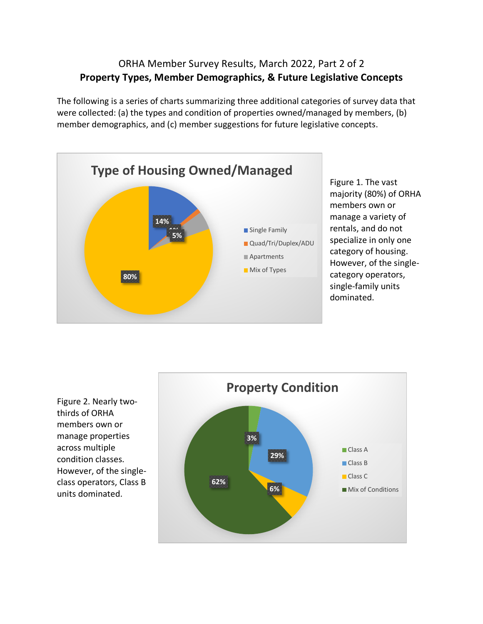## ORHA Member Survey Results, March 2022, Part 2 of 2 **Property Types, Member Demographics, & Future Legislative Concepts**

The following is a series of charts summarizing three additional categories of survey data that were collected: (a) the types and condition of properties owned/managed by members, (b) member demographics, and (c) member suggestions for future legislative concepts.



Figure 1. The vast majority (80%) of ORHA members own or manage a variety of rentals, and do not specialize in only one category of housing. However, of the singlecategory operators, single-family units dominated.



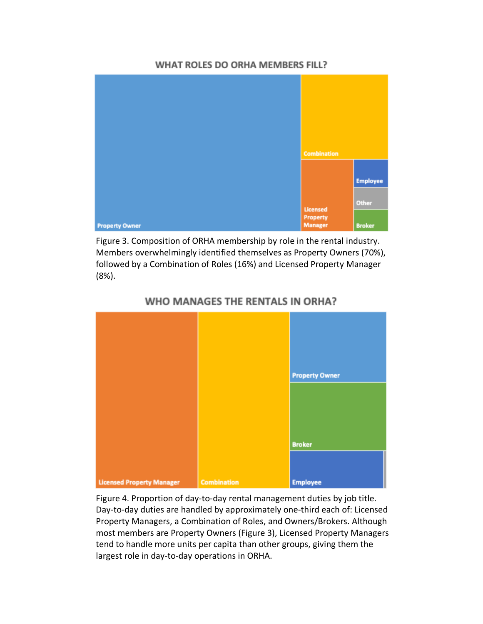## WHAT ROLES DO ORHA MEMBERS FILL?



Figure 3. Composition of ORHA membership by role in the rental industry. Members overwhelmingly identified themselves as Property Owners (70%), followed by a Combination of Roles (16%) and Licensed Property Manager (8%).



## WHO MANAGES THE RENTALS IN ORHA?

Figure 4. Proportion of day-to-day rental management duties by job title. Day-to-day duties are handled by approximately one-third each of: Licensed Property Managers, a Combination of Roles, and Owners/Brokers. Although most members are Property Owners (Figure 3), Licensed Property Managers tend to handle more units per capita than other groups, giving them the largest role in day-to-day operations in ORHA.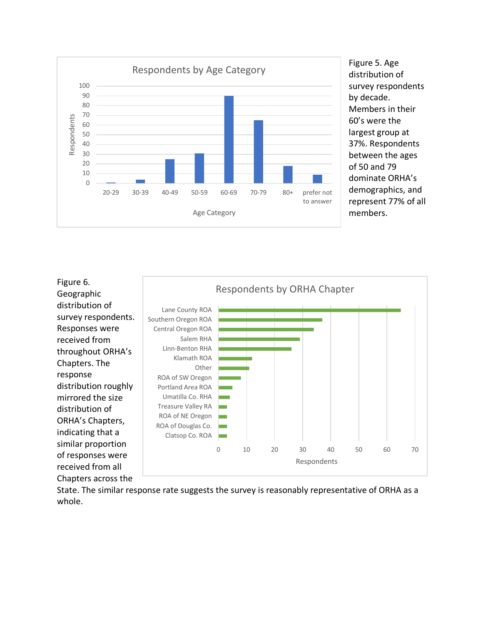

Figure 5. Age distribution of survey respondents by decade. Members in their 60's were the largest group at 37%. Respondents between the ages of 50 and 79 dominate ORHA's demographics, and represent 77% of all members.



State. The similar response rate suggests the survey is reasonably representative of ORHA as a whole.